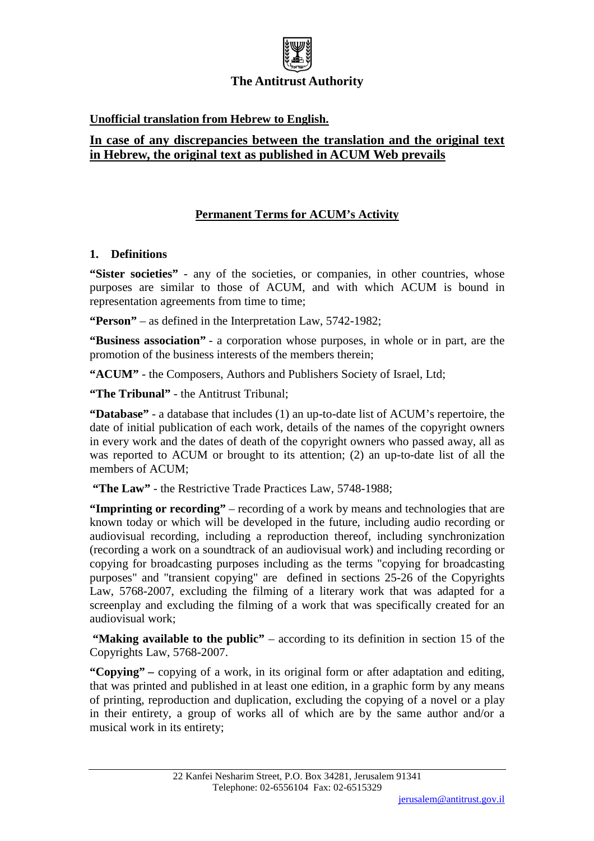

# **Unofficial translation from Hebrew to English.**

# **In case of any discrepancies between the translation and the original text in Hebrew, the original text as published in ACUM Web prevails**

# **Permanent Terms for ACUM's Activity**

# **1. Definitions**

"Sister societies" - any of the societies, or companies, in other countries, whose purposes are similar to those of ACUM, and with which ACUM is bound in representation agreements from time to time;

**"Person"** – as defined in the Interpretation Law, 5742-1982;

**"Business association"** - a corporation whose purposes, in whole or in part, are the promotion of the business interests of the members therein;

**"ACUM"** - the Composers, Authors and Publishers Society of Israel, Ltd;

**"The Tribunal"** - the Antitrust Tribunal;

**"Database"** - a database that includes (1) an up-to-date list of ACUM's repertoire, the date of initial publication of each work, details of the names of the copyright owners in every work and the dates of death of the copyright owners who passed away, all as was reported to ACUM or brought to its attention; (2) an up-to-date list of all the members of ACUM;

**"The Law"** - the Restrictive Trade Practices Law, 5748-1988;

**"Imprinting or recording"** – recording of a work by means and technologies that are known today or which will be developed in the future, including audio recording or audiovisual recording, including a reproduction thereof, including synchronization (recording a work on a soundtrack of an audiovisual work) and including recording or copying for broadcasting purposes including as the terms "copying for broadcasting purposes" and "transient copying" are defined in sections 25-26 of the Copyrights Law, 5768-2007, excluding the filming of a literary work that was adapted for a screenplay and excluding the filming of a work that was specifically created for an audiovisual work;

**"Making available to the public"** – according to its definition in section 15 of the Copyrights Law, 5768-2007.

**"Copying" –** copying of a work, in its original form or after adaptation and editing, that was printed and published in at least one edition, in a graphic form by any means of printing, reproduction and duplication, excluding the copying of a novel or a play in their entirety, a group of works all of which are by the same author and/or a musical work in its entirety;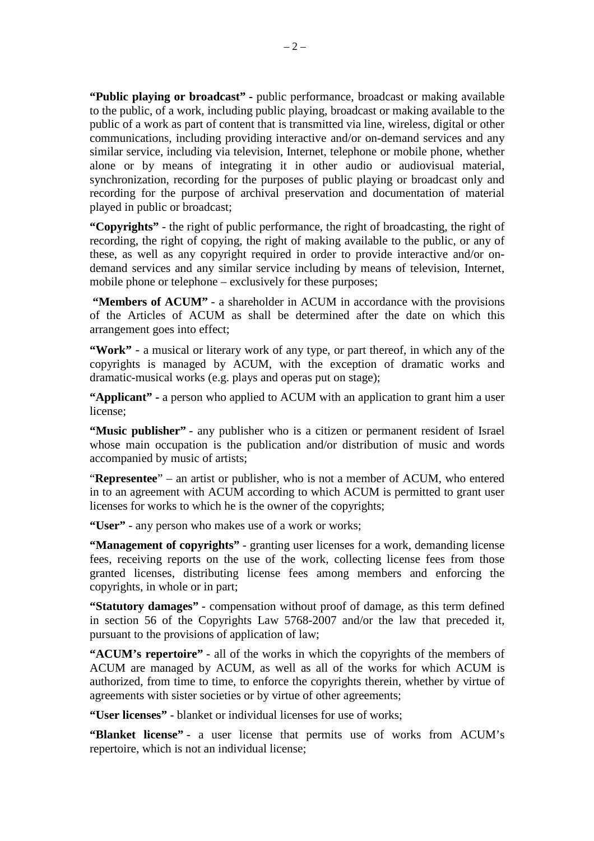**"Public playing or broadcast" -** public performance, broadcast or making available to the public, of a work, including public playing, broadcast or making available to the public of a work as part of content that is transmitted via line, wireless, digital or other communications, including providing interactive and/or on-demand services and any similar service, including via television, Internet, telephone or mobile phone, whether alone or by means of integrating it in other audio or audiovisual material, synchronization, recording for the purposes of public playing or broadcast only and recording for the purpose of archival preservation and documentation of material played in public or broadcast;

**"Copyrights"** - the right of public performance, the right of broadcasting, the right of recording, the right of copying, the right of making available to the public, or any of these, as well as any copyright required in order to provide interactive and/or ondemand services and any similar service including by means of television, Internet, mobile phone or telephone – exclusively for these purposes;

**"Members of ACUM"** - a shareholder in ACUM in accordance with the provisions of the Articles of ACUM as shall be determined after the date on which this arrangement goes into effect;

**"Work"** - a musical or literary work of any type, or part thereof, in which any of the copyrights is managed by ACUM, with the exception of dramatic works and dramatic-musical works (e.g. plays and operas put on stage);

**"Applicant" -** a person who applied to ACUM with an application to grant him a user license;

**"Music publisher"** - any publisher who is a citizen or permanent resident of Israel whose main occupation is the publication and/or distribution of music and words accompanied by music of artists;

"**Representee**" – an artist or publisher, who is not a member of ACUM, who entered in to an agreement with ACUM according to which ACUM is permitted to grant user licenses for works to which he is the owner of the copyrights;

**"User"** - any person who makes use of a work or works;

**"Management of copyrights"** - granting user licenses for a work, demanding license fees, receiving reports on the use of the work, collecting license fees from those granted licenses, distributing license fees among members and enforcing the copyrights, in whole or in part;

**"Statutory damages"** - compensation without proof of damage, as this term defined in section 56 of the Copyrights Law 5768-2007 and/or the law that preceded it, pursuant to the provisions of application of law;

**"ACUM's repertoire"** - all of the works in which the copyrights of the members of ACUM are managed by ACUM, as well as all of the works for which ACUM is authorized, from time to time, to enforce the copyrights therein, whether by virtue of agreements with sister societies or by virtue of other agreements;

**"User licenses"** - blanket or individual licenses for use of works;

**"Blanket license"** - a user license that permits use of works from ACUM's repertoire, which is not an individual license;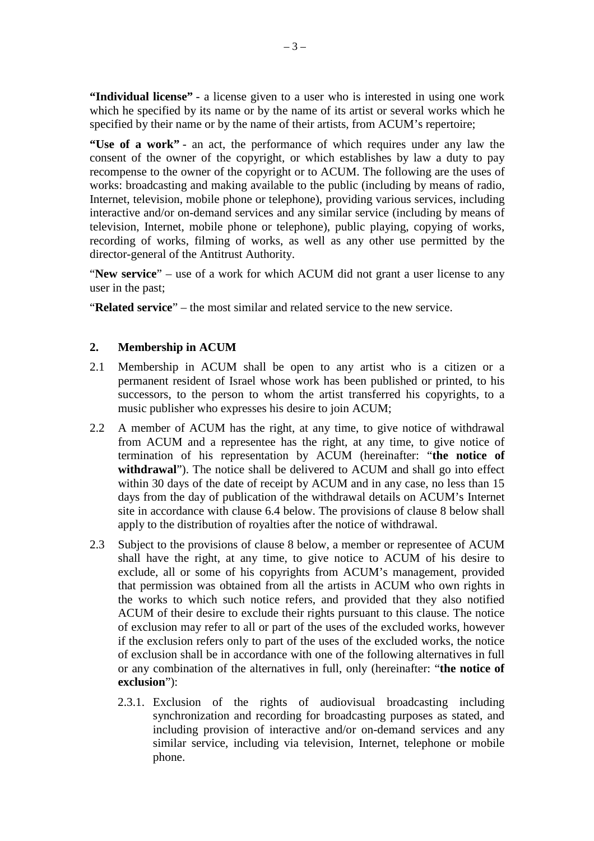**"Individual license"** - a license given to a user who is interested in using one work which he specified by its name or by the name of its artist or several works which he specified by their name or by the name of their artists, from ACUM's repertoire;

**"Use of a work"** - an act, the performance of which requires under any law the consent of the owner of the copyright, or which establishes by law a duty to pay recompense to the owner of the copyright or to ACUM. The following are the uses of works: broadcasting and making available to the public (including by means of radio, Internet, television, mobile phone or telephone), providing various services, including interactive and/or on-demand services and any similar service (including by means of television, Internet, mobile phone or telephone), public playing, copying of works, recording of works, filming of works, as well as any other use permitted by the director-general of the Antitrust Authority.

"**New service**" – use of a work for which ACUM did not grant a user license to any user in the past;

"**Related service**" – the most similar and related service to the new service.

# **2. Membership in ACUM**

- 2.1 Membership in ACUM shall be open to any artist who is a citizen or a permanent resident of Israel whose work has been published or printed, to his successors, to the person to whom the artist transferred his copyrights, to a music publisher who expresses his desire to join ACUM;
- 2.2 A member of ACUM has the right, at any time, to give notice of withdrawal from ACUM and a representee has the right, at any time, to give notice of termination of his representation by ACUM (hereinafter: "**the notice of withdrawal**"). The notice shall be delivered to ACUM and shall go into effect within 30 days of the date of receipt by ACUM and in any case, no less than 15 days from the day of publication of the withdrawal details on ACUM's Internet site in accordance with clause 6.4 below. The provisions of clause 8 below shall apply to the distribution of royalties after the notice of withdrawal.
- 2.3 Subject to the provisions of clause 8 below, a member or representee of ACUM shall have the right, at any time, to give notice to ACUM of his desire to exclude, all or some of his copyrights from ACUM's management, provided that permission was obtained from all the artists in ACUM who own rights in the works to which such notice refers, and provided that they also notified ACUM of their desire to exclude their rights pursuant to this clause. The notice of exclusion may refer to all or part of the uses of the excluded works, however if the exclusion refers only to part of the uses of the excluded works, the notice of exclusion shall be in accordance with one of the following alternatives in full or any combination of the alternatives in full, only (hereinafter: "**the notice of exclusion**"):
	- 2.3.1. Exclusion of the rights of audiovisual broadcasting including synchronization and recording for broadcasting purposes as stated, and including provision of interactive and/or on-demand services and any similar service, including via television, Internet, telephone or mobile phone.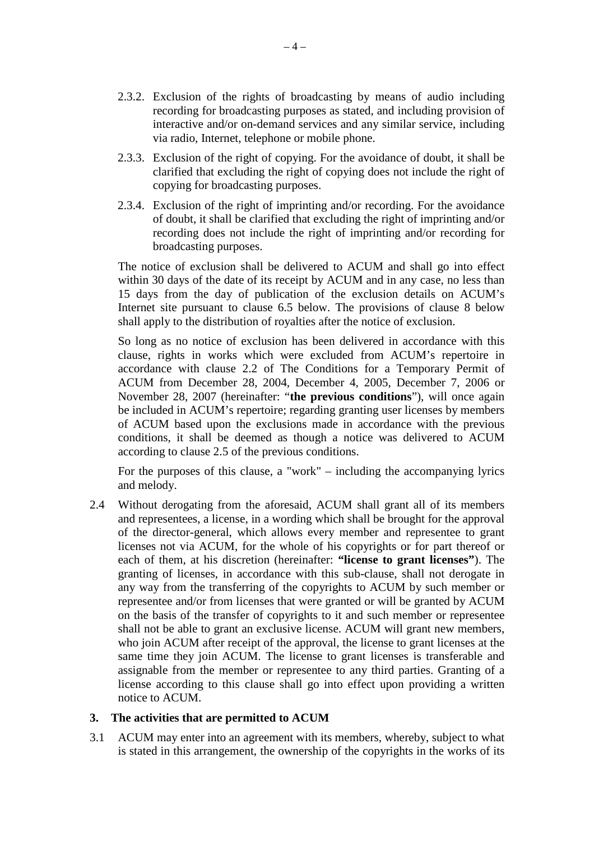- 2.3.2. Exclusion of the rights of broadcasting by means of audio including recording for broadcasting purposes as stated, and including provision of interactive and/or on-demand services and any similar service, including via radio, Internet, telephone or mobile phone.
- 2.3.3. Exclusion of the right of copying. For the avoidance of doubt, it shall be clarified that excluding the right of copying does not include the right of copying for broadcasting purposes.
- 2.3.4. Exclusion of the right of imprinting and/or recording. For the avoidance of doubt, it shall be clarified that excluding the right of imprinting and/or recording does not include the right of imprinting and/or recording for broadcasting purposes.

The notice of exclusion shall be delivered to ACUM and shall go into effect within 30 days of the date of its receipt by ACUM and in any case, no less than 15 days from the day of publication of the exclusion details on ACUM's Internet site pursuant to clause 6.5 below. The provisions of clause 8 below shall apply to the distribution of royalties after the notice of exclusion.

So long as no notice of exclusion has been delivered in accordance with this clause, rights in works which were excluded from ACUM's repertoire in accordance with clause 2.2 of The Conditions for a Temporary Permit of ACUM from December 28, 2004, December 4, 2005, December 7, 2006 or November 28, 2007 (hereinafter: "**the previous conditions**"), will once again be included in ACUM's repertoire; regarding granting user licenses by members of ACUM based upon the exclusions made in accordance with the previous conditions, it shall be deemed as though a notice was delivered to ACUM according to clause 2.5 of the previous conditions.

For the purposes of this clause, a "work" – including the accompanying lyrics and melody.

2.4 Without derogating from the aforesaid, ACUM shall grant all of its members and representees, a license, in a wording which shall be brought for the approval of the director-general, which allows every member and representee to grant licenses not via ACUM, for the whole of his copyrights or for part thereof or each of them, at his discretion (hereinafter: **"license to grant licenses"**). The granting of licenses, in accordance with this sub-clause, shall not derogate in any way from the transferring of the copyrights to ACUM by such member or representee and/or from licenses that were granted or will be granted by ACUM on the basis of the transfer of copyrights to it and such member or representee shall not be able to grant an exclusive license. ACUM will grant new members, who join ACUM after receipt of the approval, the license to grant licenses at the same time they join ACUM. The license to grant licenses is transferable and assignable from the member or representee to any third parties. Granting of a license according to this clause shall go into effect upon providing a written notice to ACUM.

#### **3. The activities that are permitted to ACUM**

3.1 ACUM may enter into an agreement with its members, whereby, subject to what is stated in this arrangement, the ownership of the copyrights in the works of its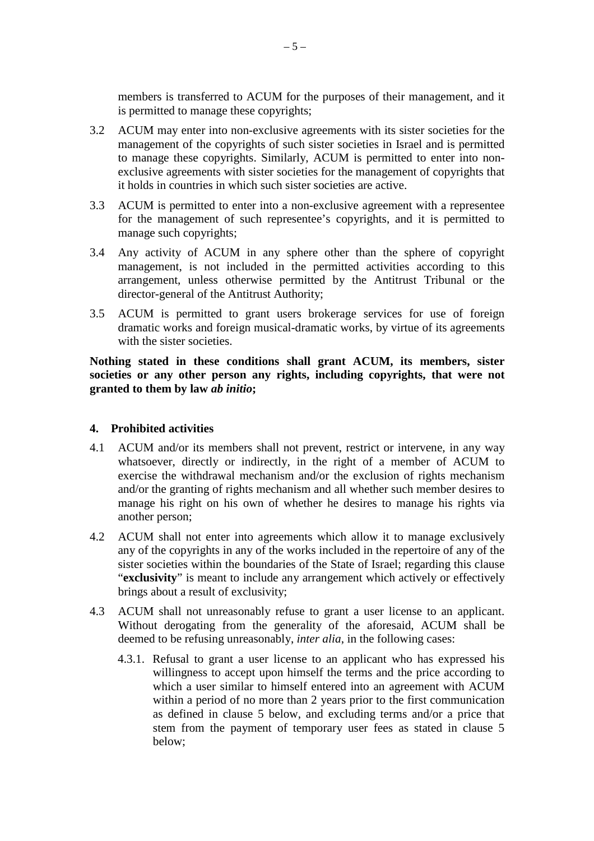members is transferred to ACUM for the purposes of their management, and it is permitted to manage these copyrights;

- 3.2 ACUM may enter into non-exclusive agreements with its sister societies for the management of the copyrights of such sister societies in Israel and is permitted to manage these copyrights. Similarly, ACUM is permitted to enter into nonexclusive agreements with sister societies for the management of copyrights that it holds in countries in which such sister societies are active.
- 3.3 ACUM is permitted to enter into a non-exclusive agreement with a representee for the management of such representee's copyrights, and it is permitted to manage such copyrights;
- 3.4 Any activity of ACUM in any sphere other than the sphere of copyright management, is not included in the permitted activities according to this arrangement, unless otherwise permitted by the Antitrust Tribunal or the director-general of the Antitrust Authority;
- 3.5 ACUM is permitted to grant users brokerage services for use of foreign dramatic works and foreign musical-dramatic works, by virtue of its agreements with the sister societies.

**Nothing stated in these conditions shall grant ACUM, its members, sister societies or any other person any rights, including copyrights, that were not granted to them by law** *ab initio***;** 

## **4. Prohibited activities**

- 4.1 ACUM and/or its members shall not prevent, restrict or intervene, in any way whatsoever, directly or indirectly, in the right of a member of ACUM to exercise the withdrawal mechanism and/or the exclusion of rights mechanism and/or the granting of rights mechanism and all whether such member desires to manage his right on his own of whether he desires to manage his rights via another person;
- 4.2 ACUM shall not enter into agreements which allow it to manage exclusively any of the copyrights in any of the works included in the repertoire of any of the sister societies within the boundaries of the State of Israel; regarding this clause "**exclusivity**" is meant to include any arrangement which actively or effectively brings about a result of exclusivity;
- 4.3 ACUM shall not unreasonably refuse to grant a user license to an applicant. Without derogating from the generality of the aforesaid, ACUM shall be deemed to be refusing unreasonably, *inter alia*, in the following cases:
	- 4.3.1. Refusal to grant a user license to an applicant who has expressed his willingness to accept upon himself the terms and the price according to which a user similar to himself entered into an agreement with ACUM within a period of no more than 2 years prior to the first communication as defined in clause 5 below, and excluding terms and/or a price that stem from the payment of temporary user fees as stated in clause 5 below;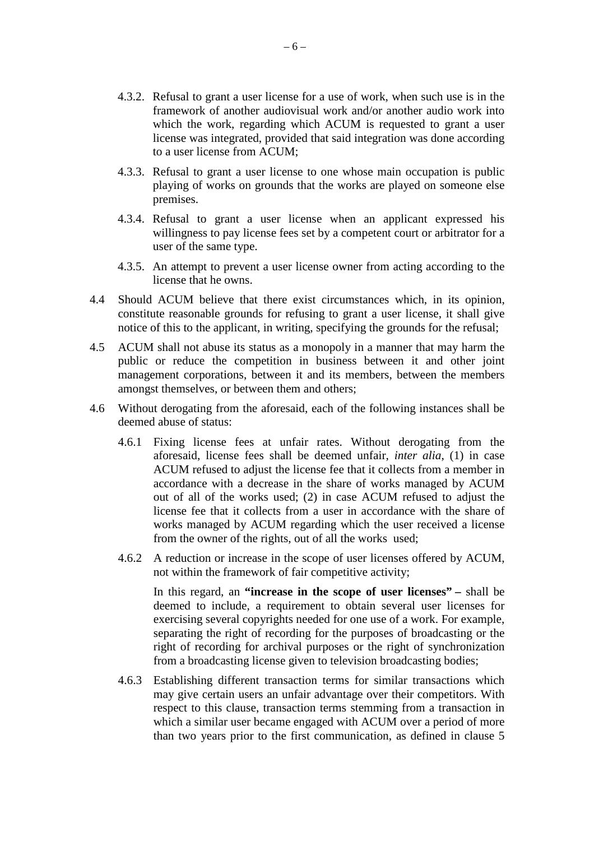- 4.3.2. Refusal to grant a user license for a use of work, when such use is in the framework of another audiovisual work and/or another audio work into which the work, regarding which ACUM is requested to grant a user license was integrated, provided that said integration was done according to a user license from ACUM;
- 4.3.3. Refusal to grant a user license to one whose main occupation is public playing of works on grounds that the works are played on someone else premises.
- 4.3.4. Refusal to grant a user license when an applicant expressed his willingness to pay license fees set by a competent court or arbitrator for a user of the same type.
- 4.3.5. An attempt to prevent a user license owner from acting according to the license that he owns.
- 4.4 Should ACUM believe that there exist circumstances which, in its opinion, constitute reasonable grounds for refusing to grant a user license, it shall give notice of this to the applicant, in writing, specifying the grounds for the refusal;
- 4.5 ACUM shall not abuse its status as a monopoly in a manner that may harm the public or reduce the competition in business between it and other joint management corporations, between it and its members, between the members amongst themselves, or between them and others;
- 4.6 Without derogating from the aforesaid, each of the following instances shall be deemed abuse of status:
	- 4.6.1 Fixing license fees at unfair rates. Without derogating from the aforesaid, license fees shall be deemed unfair, *inter alia*, (1) in case ACUM refused to adjust the license fee that it collects from a member in accordance with a decrease in the share of works managed by ACUM out of all of the works used; (2) in case ACUM refused to adjust the license fee that it collects from a user in accordance with the share of works managed by ACUM regarding which the user received a license from the owner of the rights, out of all the works used;
	- 4.6.2 A reduction or increase in the scope of user licenses offered by ACUM, not within the framework of fair competitive activity;

In this regard, an **"increase in the scope of user licenses" –** shall be deemed to include, a requirement to obtain several user licenses for exercising several copyrights needed for one use of a work. For example, separating the right of recording for the purposes of broadcasting or the right of recording for archival purposes or the right of synchronization from a broadcasting license given to television broadcasting bodies;

4.6.3 Establishing different transaction terms for similar transactions which may give certain users an unfair advantage over their competitors. With respect to this clause, transaction terms stemming from a transaction in which a similar user became engaged with ACUM over a period of more than two years prior to the first communication, as defined in clause 5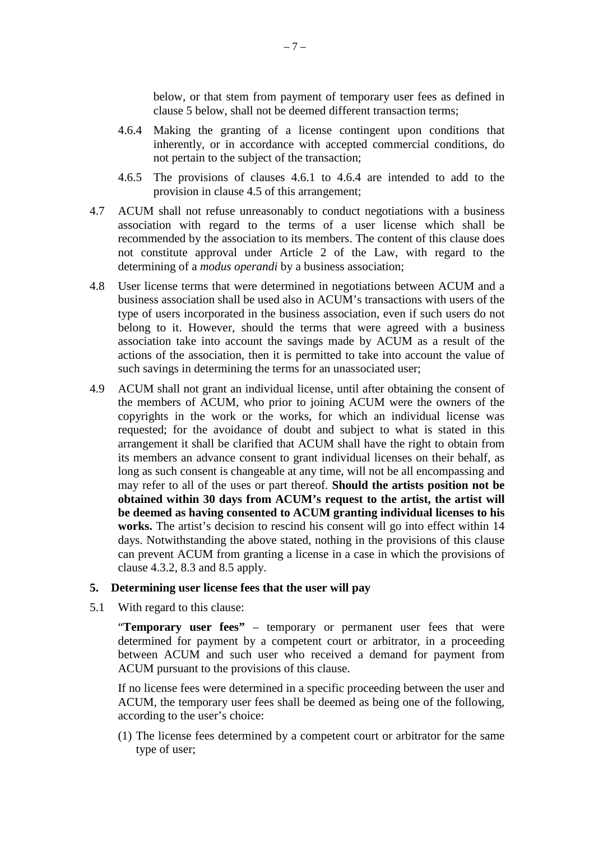below, or that stem from payment of temporary user fees as defined in clause 5 below, shall not be deemed different transaction terms;

- 4.6.4 Making the granting of a license contingent upon conditions that inherently, or in accordance with accepted commercial conditions, do not pertain to the subject of the transaction;
- 4.6.5 The provisions of clauses 4.6.1 to 4.6.4 are intended to add to the provision in clause 4.5 of this arrangement;
- 4.7 ACUM shall not refuse unreasonably to conduct negotiations with a business association with regard to the terms of a user license which shall be recommended by the association to its members. The content of this clause does not constitute approval under Article 2 of the Law, with regard to the determining of a *modus operandi* by a business association;
- 4.8 User license terms that were determined in negotiations between ACUM and a business association shall be used also in ACUM's transactions with users of the type of users incorporated in the business association, even if such users do not belong to it. However, should the terms that were agreed with a business association take into account the savings made by ACUM as a result of the actions of the association, then it is permitted to take into account the value of such savings in determining the terms for an unassociated user;
- 4.9 ACUM shall not grant an individual license, until after obtaining the consent of the members of ACUM, who prior to joining ACUM were the owners of the copyrights in the work or the works, for which an individual license was requested; for the avoidance of doubt and subject to what is stated in this arrangement it shall be clarified that ACUM shall have the right to obtain from its members an advance consent to grant individual licenses on their behalf, as long as such consent is changeable at any time, will not be all encompassing and may refer to all of the uses or part thereof. **Should the artists position not be obtained within 30 days from ACUM's request to the artist, the artist will be deemed as having consented to ACUM granting individual licenses to his works.** The artist's decision to rescind his consent will go into effect within 14 days. Notwithstanding the above stated, nothing in the provisions of this clause can prevent ACUM from granting a license in a case in which the provisions of clause 4.3.2, 8.3 and 8.5 apply.

#### **5. Determining user license fees that the user will pay**

5.1 With regard to this clause:

 "**Temporary user fees"** – temporary or permanent user fees that were determined for payment by a competent court or arbitrator, in a proceeding between ACUM and such user who received a demand for payment from ACUM pursuant to the provisions of this clause.

If no license fees were determined in a specific proceeding between the user and ACUM, the temporary user fees shall be deemed as being one of the following, according to the user's choice:

(1) The license fees determined by a competent court or arbitrator for the same type of user;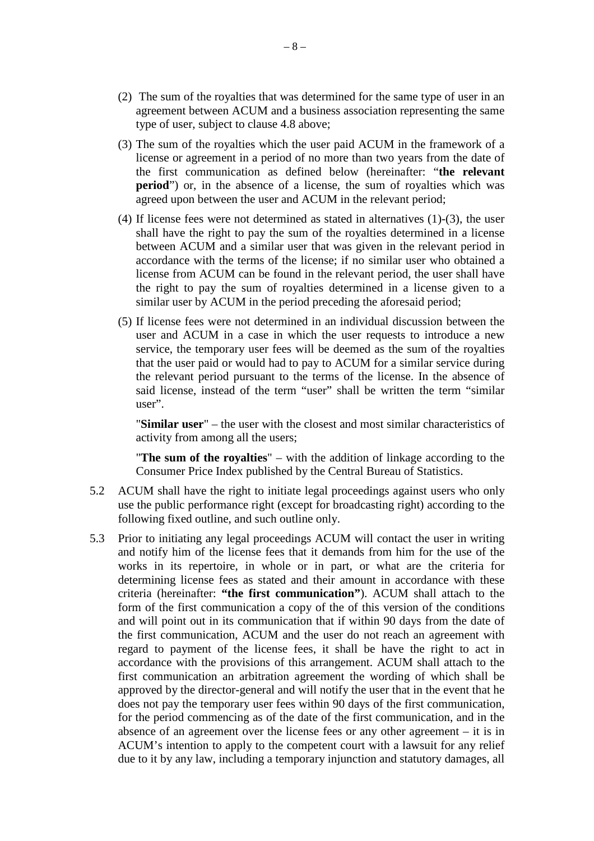- (2) The sum of the royalties that was determined for the same type of user in an agreement between ACUM and a business association representing the same type of user, subject to clause 4.8 above;
- (3) The sum of the royalties which the user paid ACUM in the framework of a license or agreement in a period of no more than two years from the date of the first communication as defined below (hereinafter: "**the relevant period**") or, in the absence of a license, the sum of royalties which was agreed upon between the user and ACUM in the relevant period;
- (4) If license fees were not determined as stated in alternatives (1)-(3), the user shall have the right to pay the sum of the royalties determined in a license between ACUM and a similar user that was given in the relevant period in accordance with the terms of the license; if no similar user who obtained a license from ACUM can be found in the relevant period, the user shall have the right to pay the sum of royalties determined in a license given to a similar user by ACUM in the period preceding the aforesaid period;
- (5) If license fees were not determined in an individual discussion between the user and ACUM in a case in which the user requests to introduce a new service, the temporary user fees will be deemed as the sum of the royalties that the user paid or would had to pay to ACUM for a similar service during the relevant period pursuant to the terms of the license. In the absence of said license, instead of the term "user" shall be written the term "similar user".

"**Similar user**" – the user with the closest and most similar characteristics of activity from among all the users;

"**The sum of the royalties**" – with the addition of linkage according to the Consumer Price Index published by the Central Bureau of Statistics.

- 5.2 ACUM shall have the right to initiate legal proceedings against users who only use the public performance right (except for broadcasting right) according to the following fixed outline, and such outline only.
- 5.3 Prior to initiating any legal proceedings ACUM will contact the user in writing and notify him of the license fees that it demands from him for the use of the works in its repertoire, in whole or in part, or what are the criteria for determining license fees as stated and their amount in accordance with these criteria (hereinafter: **"the first communication"**). ACUM shall attach to the form of the first communication a copy of the of this version of the conditions and will point out in its communication that if within 90 days from the date of the first communication, ACUM and the user do not reach an agreement with regard to payment of the license fees, it shall be have the right to act in accordance with the provisions of this arrangement. ACUM shall attach to the first communication an arbitration agreement the wording of which shall be approved by the director-general and will notify the user that in the event that he does not pay the temporary user fees within 90 days of the first communication, for the period commencing as of the date of the first communication, and in the absence of an agreement over the license fees or any other agreement – it is in ACUM's intention to apply to the competent court with a lawsuit for any relief due to it by any law, including a temporary injunction and statutory damages, all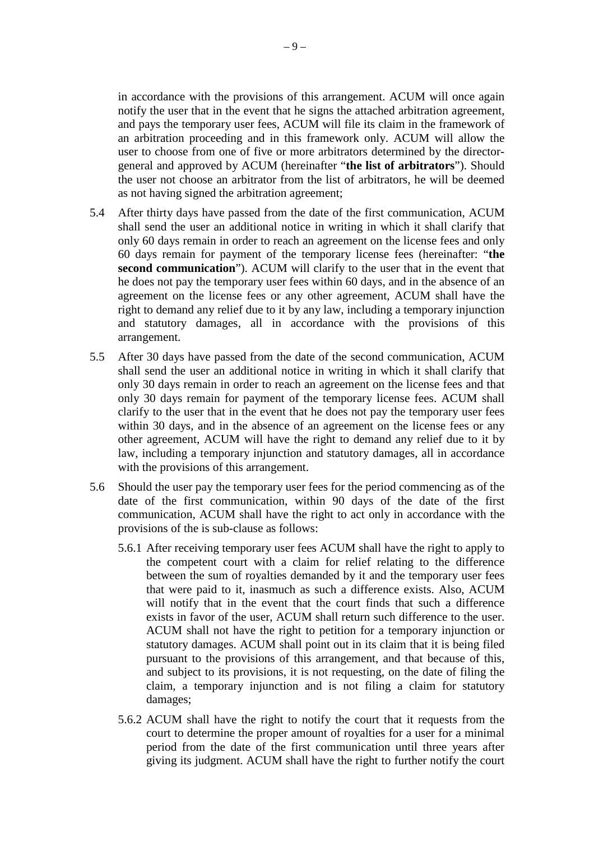in accordance with the provisions of this arrangement. ACUM will once again notify the user that in the event that he signs the attached arbitration agreement, and pays the temporary user fees, ACUM will file its claim in the framework of an arbitration proceeding and in this framework only. ACUM will allow the user to choose from one of five or more arbitrators determined by the directorgeneral and approved by ACUM (hereinafter "**the list of arbitrators**"). Should the user not choose an arbitrator from the list of arbitrators, he will be deemed as not having signed the arbitration agreement;

- 5.4 After thirty days have passed from the date of the first communication, ACUM shall send the user an additional notice in writing in which it shall clarify that only 60 days remain in order to reach an agreement on the license fees and only 60 days remain for payment of the temporary license fees (hereinafter: "**the second communication**"). ACUM will clarify to the user that in the event that he does not pay the temporary user fees within 60 days, and in the absence of an agreement on the license fees or any other agreement, ACUM shall have the right to demand any relief due to it by any law, including a temporary injunction and statutory damages, all in accordance with the provisions of this arrangement.
- 5.5 After 30 days have passed from the date of the second communication, ACUM shall send the user an additional notice in writing in which it shall clarify that only 30 days remain in order to reach an agreement on the license fees and that only 30 days remain for payment of the temporary license fees. ACUM shall clarify to the user that in the event that he does not pay the temporary user fees within 30 days, and in the absence of an agreement on the license fees or any other agreement, ACUM will have the right to demand any relief due to it by law, including a temporary injunction and statutory damages, all in accordance with the provisions of this arrangement.
- 5.6 Should the user pay the temporary user fees for the period commencing as of the date of the first communication, within 90 days of the date of the first communication, ACUM shall have the right to act only in accordance with the provisions of the is sub-clause as follows:
	- 5.6.1 After receiving temporary user fees ACUM shall have the right to apply to the competent court with a claim for relief relating to the difference between the sum of royalties demanded by it and the temporary user fees that were paid to it, inasmuch as such a difference exists. Also, ACUM will notify that in the event that the court finds that such a difference exists in favor of the user, ACUM shall return such difference to the user. ACUM shall not have the right to petition for a temporary injunction or statutory damages. ACUM shall point out in its claim that it is being filed pursuant to the provisions of this arrangement, and that because of this, and subject to its provisions, it is not requesting, on the date of filing the claim, a temporary injunction and is not filing a claim for statutory damages;
	- 5.6.2 ACUM shall have the right to notify the court that it requests from the court to determine the proper amount of royalties for a user for a minimal period from the date of the first communication until three years after giving its judgment. ACUM shall have the right to further notify the court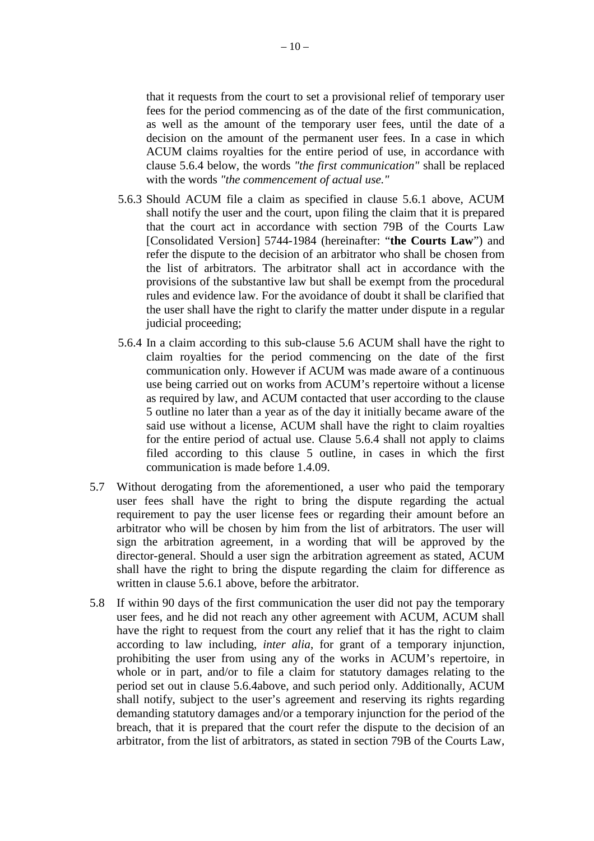that it requests from the court to set a provisional relief of temporary user fees for the period commencing as of the date of the first communication, as well as the amount of the temporary user fees, until the date of a decision on the amount of the permanent user fees. In a case in which ACUM claims royalties for the entire period of use, in accordance with clause 5.6.4 below, the words *"the first communication"* shall be replaced with the words *"the commencement of actual use."*

- 5.6.3 Should ACUM file a claim as specified in clause 5.6.1 above, ACUM shall notify the user and the court, upon filing the claim that it is prepared that the court act in accordance with section 79B of the Courts Law [Consolidated Version] 5744-1984 (hereinafter: "**the Courts Law**") and refer the dispute to the decision of an arbitrator who shall be chosen from the list of arbitrators. The arbitrator shall act in accordance with the provisions of the substantive law but shall be exempt from the procedural rules and evidence law. For the avoidance of doubt it shall be clarified that the user shall have the right to clarify the matter under dispute in a regular judicial proceeding;
- 5.6.4 In a claim according to this sub-clause 5.6 ACUM shall have the right to claim royalties for the period commencing on the date of the first communication only. However if ACUM was made aware of a continuous use being carried out on works from ACUM's repertoire without a license as required by law, and ACUM contacted that user according to the clause 5 outline no later than a year as of the day it initially became aware of the said use without a license, ACUM shall have the right to claim royalties for the entire period of actual use. Clause 5.6.4 shall not apply to claims filed according to this clause 5 outline, in cases in which the first communication is made before 1.4.09.
- 5.7 Without derogating from the aforementioned, a user who paid the temporary user fees shall have the right to bring the dispute regarding the actual requirement to pay the user license fees or regarding their amount before an arbitrator who will be chosen by him from the list of arbitrators. The user will sign the arbitration agreement, in a wording that will be approved by the director-general. Should a user sign the arbitration agreement as stated, ACUM shall have the right to bring the dispute regarding the claim for difference as written in clause 5.6.1 above, before the arbitrator.
- 5.8 If within 90 days of the first communication the user did not pay the temporary user fees, and he did not reach any other agreement with ACUM, ACUM shall have the right to request from the court any relief that it has the right to claim according to law including, *inter alia*, for grant of a temporary injunction, prohibiting the user from using any of the works in ACUM's repertoire, in whole or in part, and/or to file a claim for statutory damages relating to the period set out in clause 5.6.4above, and such period only. Additionally, ACUM shall notify, subject to the user's agreement and reserving its rights regarding demanding statutory damages and/or a temporary injunction for the period of the breach, that it is prepared that the court refer the dispute to the decision of an arbitrator, from the list of arbitrators, as stated in section 79B of the Courts Law,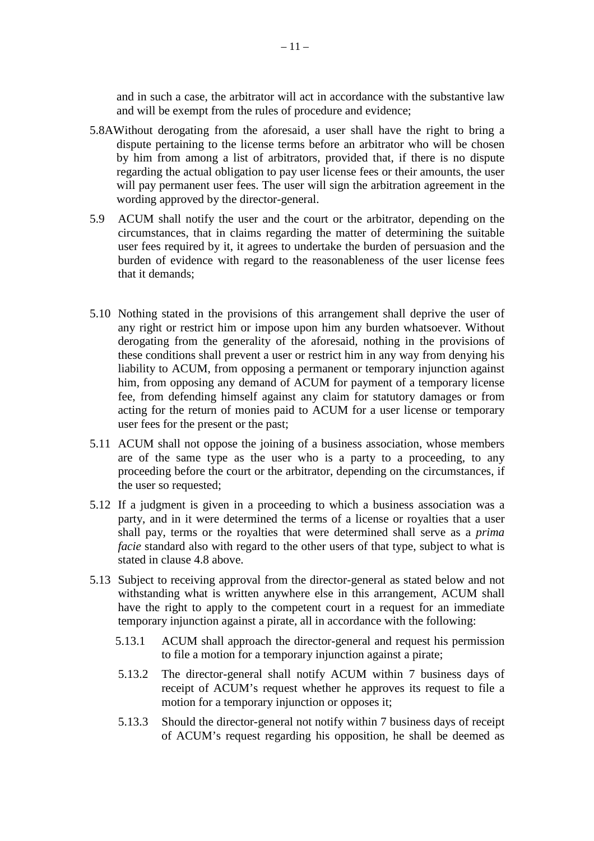and in such a case, the arbitrator will act in accordance with the substantive law and will be exempt from the rules of procedure and evidence;

- 5.8AWithout derogating from the aforesaid, a user shall have the right to bring a dispute pertaining to the license terms before an arbitrator who will be chosen by him from among a list of arbitrators, provided that, if there is no dispute regarding the actual obligation to pay user license fees or their amounts, the user will pay permanent user fees. The user will sign the arbitration agreement in the wording approved by the director-general.
- 5.9 ACUM shall notify the user and the court or the arbitrator, depending on the circumstances, that in claims regarding the matter of determining the suitable user fees required by it, it agrees to undertake the burden of persuasion and the burden of evidence with regard to the reasonableness of the user license fees that it demands;
- 5.10 Nothing stated in the provisions of this arrangement shall deprive the user of any right or restrict him or impose upon him any burden whatsoever. Without derogating from the generality of the aforesaid, nothing in the provisions of these conditions shall prevent a user or restrict him in any way from denying his liability to ACUM, from opposing a permanent or temporary injunction against him, from opposing any demand of ACUM for payment of a temporary license fee, from defending himself against any claim for statutory damages or from acting for the return of monies paid to ACUM for a user license or temporary user fees for the present or the past;
- 5.11 ACUM shall not oppose the joining of a business association, whose members are of the same type as the user who is a party to a proceeding, to any proceeding before the court or the arbitrator, depending on the circumstances, if the user so requested;
- 5.12 If a judgment is given in a proceeding to which a business association was a party, and in it were determined the terms of a license or royalties that a user shall pay, terms or the royalties that were determined shall serve as a *prima facie* standard also with regard to the other users of that type, subject to what is stated in clause 4.8 above.
- 5.13 Subject to receiving approval from the director-general as stated below and not withstanding what is written anywhere else in this arrangement, ACUM shall have the right to apply to the competent court in a request for an immediate temporary injunction against a pirate, all in accordance with the following:
	- 5.13.1 ACUM shall approach the director-general and request his permission to file a motion for a temporary injunction against a pirate;
	- 5.13.2 The director-general shall notify ACUM within 7 business days of receipt of ACUM's request whether he approves its request to file a motion for a temporary injunction or opposes it;
	- 5.13.3 Should the director-general not notify within 7 business days of receipt of ACUM's request regarding his opposition, he shall be deemed as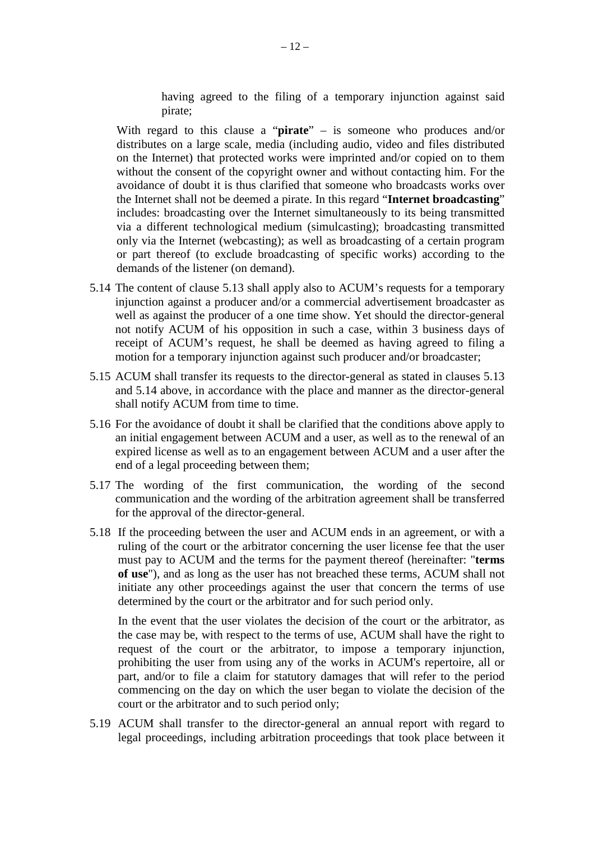having agreed to the filing of a temporary injunction against said pirate;

With regard to this clause a "**pirate**" – is someone who produces and/or distributes on a large scale, media (including audio, video and files distributed on the Internet) that protected works were imprinted and/or copied on to them without the consent of the copyright owner and without contacting him. For the avoidance of doubt it is thus clarified that someone who broadcasts works over the Internet shall not be deemed a pirate. In this regard "**Internet broadcasting**" includes: broadcasting over the Internet simultaneously to its being transmitted via a different technological medium (simulcasting); broadcasting transmitted only via the Internet (webcasting); as well as broadcasting of a certain program or part thereof (to exclude broadcasting of specific works) according to the demands of the listener (on demand).

- 5.14 The content of clause 5.13 shall apply also to ACUM's requests for a temporary injunction against a producer and/or a commercial advertisement broadcaster as well as against the producer of a one time show. Yet should the director-general not notify ACUM of his opposition in such a case, within 3 business days of receipt of ACUM's request, he shall be deemed as having agreed to filing a motion for a temporary injunction against such producer and/or broadcaster;
- 5.15 ACUM shall transfer its requests to the director-general as stated in clauses 5.13 and 5.14 above, in accordance with the place and manner as the director-general shall notify ACUM from time to time.
- 5.16 For the avoidance of doubt it shall be clarified that the conditions above apply to an initial engagement between ACUM and a user, as well as to the renewal of an expired license as well as to an engagement between ACUM and a user after the end of a legal proceeding between them;
- 5.17 The wording of the first communication, the wording of the second communication and the wording of the arbitration agreement shall be transferred for the approval of the director-general.
- 5.18 If the proceeding between the user and ACUM ends in an agreement, or with a ruling of the court or the arbitrator concerning the user license fee that the user must pay to ACUM and the terms for the payment thereof (hereinafter: "**terms of use**"), and as long as the user has not breached these terms, ACUM shall not initiate any other proceedings against the user that concern the terms of use determined by the court or the arbitrator and for such period only.

In the event that the user violates the decision of the court or the arbitrator, as the case may be, with respect to the terms of use, ACUM shall have the right to request of the court or the arbitrator, to impose a temporary injunction, prohibiting the user from using any of the works in ACUM's repertoire, all or part, and/or to file a claim for statutory damages that will refer to the period commencing on the day on which the user began to violate the decision of the court or the arbitrator and to such period only;

5.19 ACUM shall transfer to the director-general an annual report with regard to legal proceedings, including arbitration proceedings that took place between it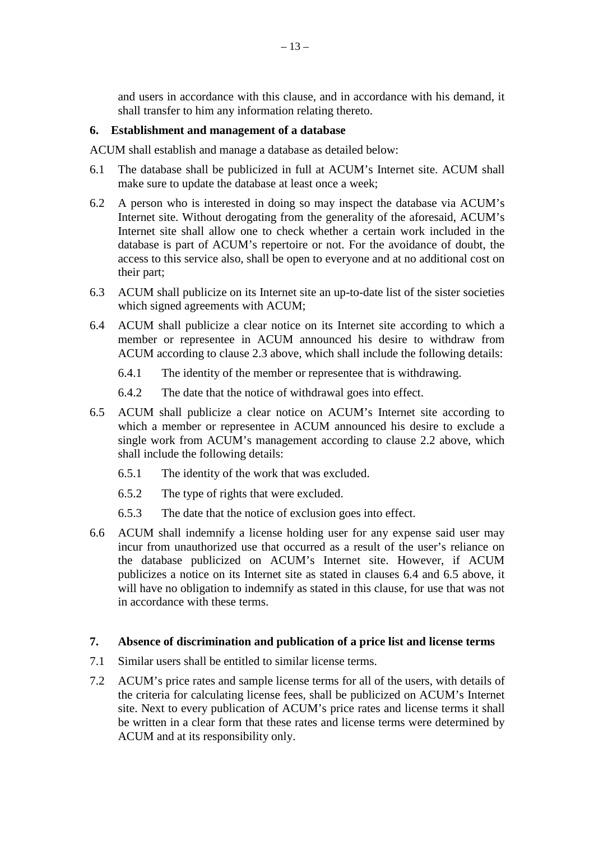and users in accordance with this clause, and in accordance with his demand, it shall transfer to him any information relating thereto.

#### **6. Establishment and management of a database**

ACUM shall establish and manage a database as detailed below:

- 6.1 The database shall be publicized in full at ACUM's Internet site. ACUM shall make sure to update the database at least once a week;
- 6.2 A person who is interested in doing so may inspect the database via ACUM's Internet site. Without derogating from the generality of the aforesaid, ACUM's Internet site shall allow one to check whether a certain work included in the database is part of ACUM's repertoire or not. For the avoidance of doubt, the access to this service also, shall be open to everyone and at no additional cost on their part;
- 6.3 ACUM shall publicize on its Internet site an up-to-date list of the sister societies which signed agreements with ACUM;
- 6.4 ACUM shall publicize a clear notice on its Internet site according to which a member or representee in ACUM announced his desire to withdraw from ACUM according to clause 2.3 above, which shall include the following details:
	- 6.4.1 The identity of the member or representee that is withdrawing.
	- 6.4.2 The date that the notice of withdrawal goes into effect.
- 6.5 ACUM shall publicize a clear notice on ACUM's Internet site according to which a member or representee in ACUM announced his desire to exclude a single work from ACUM's management according to clause 2.2 above, which shall include the following details:
	- 6.5.1 The identity of the work that was excluded.
	- 6.5.2 The type of rights that were excluded.
	- 6.5.3 The date that the notice of exclusion goes into effect.
- 6.6 ACUM shall indemnify a license holding user for any expense said user may incur from unauthorized use that occurred as a result of the user's reliance on the database publicized on ACUM's Internet site. However, if ACUM publicizes a notice on its Internet site as stated in clauses 6.4 and 6.5 above, it will have no obligation to indemnify as stated in this clause, for use that was not in accordance with these terms.

### **7. Absence of discrimination and publication of a price list and license terms**

- 7.1 Similar users shall be entitled to similar license terms.
- 7.2 ACUM's price rates and sample license terms for all of the users, with details of the criteria for calculating license fees, shall be publicized on ACUM's Internet site. Next to every publication of ACUM's price rates and license terms it shall be written in a clear form that these rates and license terms were determined by ACUM and at its responsibility only.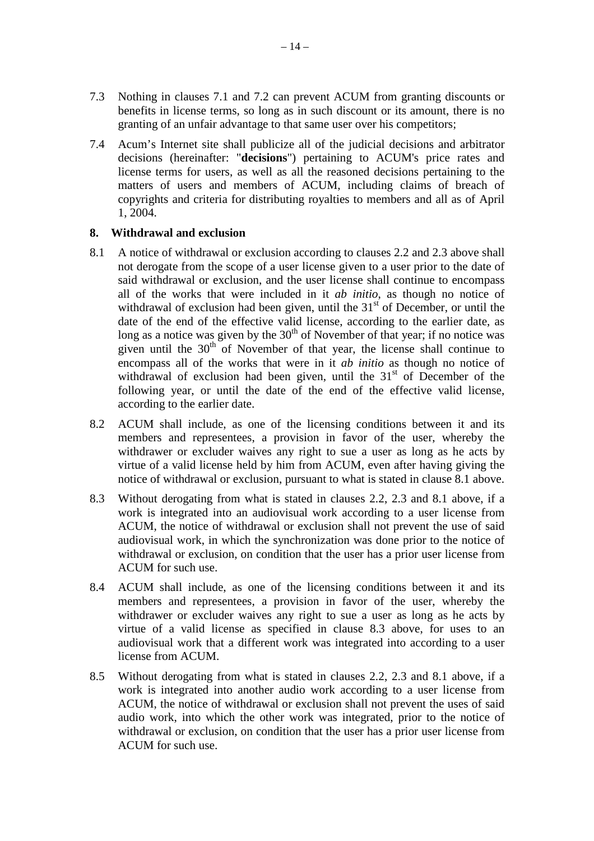- 7.3 Nothing in clauses 7.1 and 7.2 can prevent ACUM from granting discounts or benefits in license terms, so long as in such discount or its amount, there is no granting of an unfair advantage to that same user over his competitors;
- 7.4 Acum's Internet site shall publicize all of the judicial decisions and arbitrator decisions (hereinafter: "**decisions**") pertaining to ACUM's price rates and license terms for users, as well as all the reasoned decisions pertaining to the matters of users and members of ACUM, including claims of breach of copyrights and criteria for distributing royalties to members and all as of April 1, 2004.

## **8. Withdrawal and exclusion**

- 8.1 A notice of withdrawal or exclusion according to clauses 2.2 and 2.3 above shall not derogate from the scope of a user license given to a user prior to the date of said withdrawal or exclusion, and the user license shall continue to encompass all of the works that were included in it *ab initio*, as though no notice of withdrawal of exclusion had been given, until the  $31<sup>st</sup>$  of December, or until the date of the end of the effective valid license, according to the earlier date, as long as a notice was given by the  $30<sup>th</sup>$  of November of that year; if no notice was given until the  $30<sup>th</sup>$  of November of that year, the license shall continue to encompass all of the works that were in it *ab initio* as though no notice of withdrawal of exclusion had been given, until the  $31<sup>st</sup>$  of December of the following year, or until the date of the end of the effective valid license, according to the earlier date.
- 8.2 ACUM shall include, as one of the licensing conditions between it and its members and representees, a provision in favor of the user, whereby the withdrawer or excluder waives any right to sue a user as long as he acts by virtue of a valid license held by him from ACUM, even after having giving the notice of withdrawal or exclusion, pursuant to what is stated in clause 8.1 above.
- 8.3 Without derogating from what is stated in clauses 2.2, 2.3 and 8.1 above, if a work is integrated into an audiovisual work according to a user license from ACUM, the notice of withdrawal or exclusion shall not prevent the use of said audiovisual work, in which the synchronization was done prior to the notice of withdrawal or exclusion, on condition that the user has a prior user license from ACUM for such use.
- 8.4 ACUM shall include, as one of the licensing conditions between it and its members and representees, a provision in favor of the user, whereby the withdrawer or excluder waives any right to sue a user as long as he acts by virtue of a valid license as specified in clause 8.3 above, for uses to an audiovisual work that a different work was integrated into according to a user license from ACUM.
- 8.5 Without derogating from what is stated in clauses 2.2, 2.3 and 8.1 above, if a work is integrated into another audio work according to a user license from ACUM, the notice of withdrawal or exclusion shall not prevent the uses of said audio work, into which the other work was integrated, prior to the notice of withdrawal or exclusion, on condition that the user has a prior user license from ACUM for such use.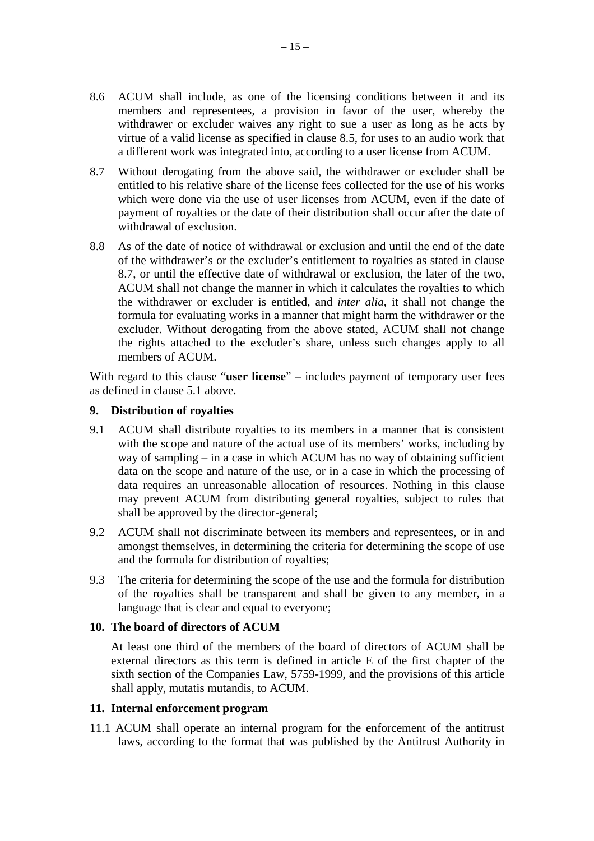- 8.6 ACUM shall include, as one of the licensing conditions between it and its members and representees, a provision in favor of the user, whereby the withdrawer or excluder waives any right to sue a user as long as he acts by virtue of a valid license as specified in clause 8.5, for uses to an audio work that a different work was integrated into, according to a user license from ACUM.
- 8.7 Without derogating from the above said, the withdrawer or excluder shall be entitled to his relative share of the license fees collected for the use of his works which were done via the use of user licenses from ACUM, even if the date of payment of royalties or the date of their distribution shall occur after the date of withdrawal of exclusion.
- 8.8 As of the date of notice of withdrawal or exclusion and until the end of the date of the withdrawer's or the excluder's entitlement to royalties as stated in clause 8.7, or until the effective date of withdrawal or exclusion, the later of the two, ACUM shall not change the manner in which it calculates the royalties to which the withdrawer or excluder is entitled, and *inter alia*, it shall not change the formula for evaluating works in a manner that might harm the withdrawer or the excluder. Without derogating from the above stated, ACUM shall not change the rights attached to the excluder's share, unless such changes apply to all members of ACUM.

With regard to this clause "**user license**" – includes payment of temporary user fees as defined in clause 5.1 above.

## **9. Distribution of royalties**

- 9.1 ACUM shall distribute royalties to its members in a manner that is consistent with the scope and nature of the actual use of its members' works, including by way of sampling – in a case in which ACUM has no way of obtaining sufficient data on the scope and nature of the use, or in a case in which the processing of data requires an unreasonable allocation of resources. Nothing in this clause may prevent ACUM from distributing general royalties, subject to rules that shall be approved by the director-general;
- 9.2 ACUM shall not discriminate between its members and representees, or in and amongst themselves, in determining the criteria for determining the scope of use and the formula for distribution of royalties;
- 9.3 The criteria for determining the scope of the use and the formula for distribution of the royalties shall be transparent and shall be given to any member, in a language that is clear and equal to everyone;

#### **10. The board of directors of ACUM**

At least one third of the members of the board of directors of ACUM shall be external directors as this term is defined in article E of the first chapter of the sixth section of the Companies Law, 5759-1999, and the provisions of this article shall apply, mutatis mutandis, to ACUM.

#### **11. Internal enforcement program**

11.1 ACUM shall operate an internal program for the enforcement of the antitrust laws, according to the format that was published by the Antitrust Authority in